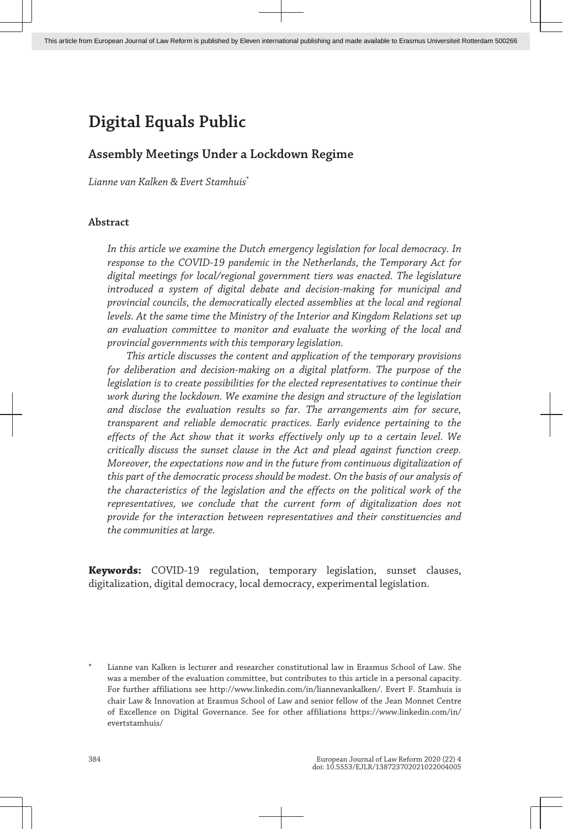# **Assembly Meetings Under a Lockdown Regime**

*Lianne van Kalken & Evert Stamhuis*\*

# **Abstract**

*In this article we examine the Dutch emergency legislation for local democracy. In response to the COVID-19 pandemic in the Netherlands, the Temporary Act for digital meetings for local/regional government tiers was enacted. The legislature introduced a system of digital debate and decision-making for municipal and provincial councils, the democratically elected assemblies at the local and regional levels. At the same time the Ministry of the Interior and Kingdom Relations set up an evaluation committee to monitor and evaluate the working of the local and provincial governments with this temporary legislation.*

*This article discusses the content and application of the temporary provisions for deliberation and decision-making on a digital platform. The purpose of the legislation is to create possibilities for the elected representatives to continue their work during the lockdown. We examine the design and structure of the legislation and disclose the evaluation results so far. The arrangements aim for secure, transparent and reliable democratic practices. Early evidence pertaining to the effects of the Act show that it works effectively only up to a certain level. We critically discuss the sunset clause in the Act and plead against function creep. Moreover, the expectations now and in the future from continuous digitalization of this part of the democratic process should be modest. On the basis of our analysis of the characteristics of the legislation and the effects on the political work of the representatives, we conclude that the current form of digitalization does not provide for the interaction between representatives and their constituencies and the communities at large.*

**Keywords:** COVID-19 regulation, temporary legislation, sunset clauses, digitalization, digital democracy, local democracy, experimental legislation.

Lianne van Kalken is lecturer and researcher constitutional law in Erasmus School of Law. She was a member of the evaluation committee, but contributes to this article in a personal capacity. For further affiliations see http://www.linkedin.com/in/liannevankalken/. Evert F. Stamhuis is chair Law & Innovation at Erasmus School of Law and senior fellow of the Jean Monnet Centre of Excellence on Digital Governance. See for other affiliations https://www.linkedin.com/in/ evertstamhuis/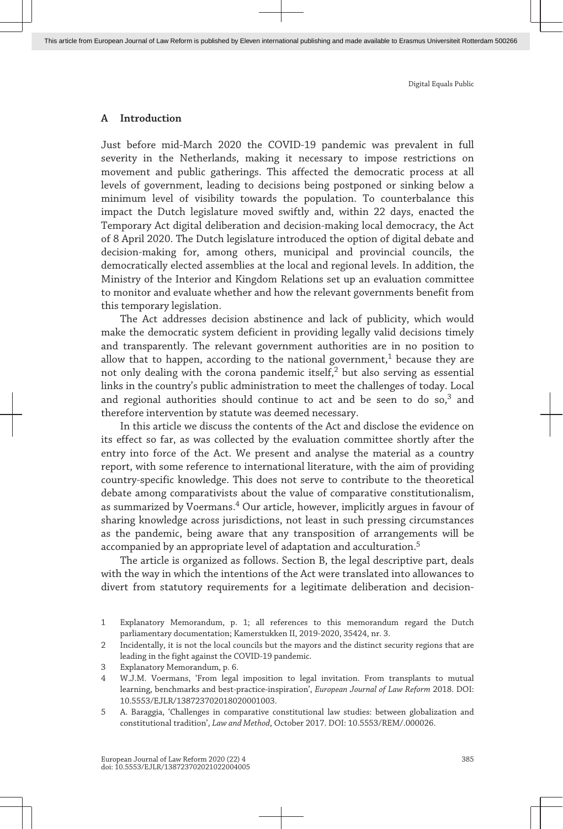#### **A Introduction**

Just before mid-March 2020 the COVID-19 pandemic was prevalent in full severity in the Netherlands, making it necessary to impose restrictions on movement and public gatherings. This affected the democratic process at all levels of government, leading to decisions being postponed or sinking below a minimum level of visibility towards the population. To counterbalance this impact the Dutch legislature moved swiftly and, within 22 days, enacted the Temporary Act digital deliberation and decision-making local democracy, the Act of 8 April 2020. The Dutch legislature introduced the option of digital debate and decision-making for, among others, municipal and provincial councils, the democratically elected assemblies at the local and regional levels. In addition, the Ministry of the Interior and Kingdom Relations set up an evaluation committee to monitor and evaluate whether and how the relevant governments benefit from this temporary legislation.

The Act addresses decision abstinence and lack of publicity, which would make the democratic system deficient in providing legally valid decisions timely and transparently. The relevant government authorities are in no position to allow that to happen, according to the national government, $1$  because they are not only dealing with the corona pandemic itself, $^2$  but also serving as essential links in the country's public administration to meet the challenges of today. Local and regional authorities should continue to act and be seen to do  $so<sub>3</sub>$  and therefore intervention by statute was deemed necessary.

In this article we discuss the contents of the Act and disclose the evidence on its effect so far, as was collected by the evaluation committee shortly after the entry into force of the Act. We present and analyse the material as a country report, with some reference to international literature, with the aim of providing country-specific knowledge. This does not serve to contribute to the theoretical debate among comparativists about the value of comparative constitutionalism, as summarized by Voermans.<sup>4</sup> Our article, however, implicitly argues in favour of sharing knowledge across jurisdictions, not least in such pressing circumstances as the pandemic, being aware that any transposition of arrangements will be accompanied by an appropriate level of adaptation and acculturation.<sup>5</sup>

The article is organized as follows. Section B, the legal descriptive part, deals with the way in which the intentions of the Act were translated into allowances to divert from statutory requirements for a legitimate deliberation and decision-

<sup>1</sup> Explanatory Memorandum, p. 1; all references to this memorandum regard the Dutch parliamentary documentation; Kamerstukken II, 2019-2020, 35424, nr. 3.

<sup>2</sup> Incidentally, it is not the local councils but the mayors and the distinct security regions that are leading in the fight against the COVID-19 pandemic.

<sup>3</sup> Explanatory Memorandum, p. 6.

<sup>4</sup> W.J.M. Voermans, 'From legal imposition to legal invitation. From transplants to mutual learning, benchmarks and best-practice-inspiration', *European Journal of Law Reform* 2018. DOI: 10.5553/EJLR/138723702018020001003.

<sup>5</sup> A. Baraggia, 'Challenges in comparative constitutional law studies: between globalization and constitutional tradition', *Law and Method*, October 2017. DOI: 10.5553/REM/.000026.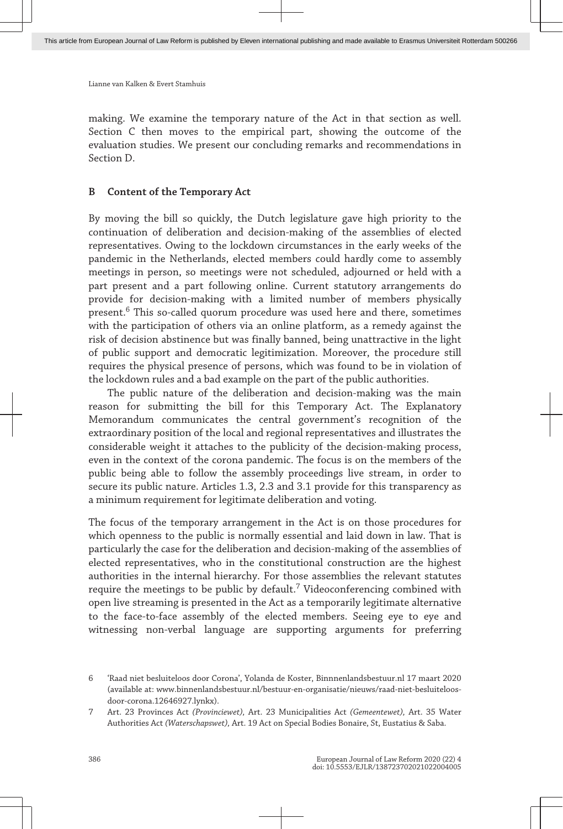making. We examine the temporary nature of the Act in that section as well. Section C then moves to the empirical part, showing the outcome of the evaluation studies. We present our concluding remarks and recommendations in Section D.

#### **B Content of the Temporary Act**

By moving the bill so quickly, the Dutch legislature gave high priority to the continuation of deliberation and decision-making of the assemblies of elected representatives. Owing to the lockdown circumstances in the early weeks of the pandemic in the Netherlands, elected members could hardly come to assembly meetings in person, so meetings were not scheduled, adjourned or held with a part present and a part following online. Current statutory arrangements do provide for decision-making with a limited number of members physically present. $^6$  This so-called quorum procedure was used here and there, sometimes with the participation of others via an online platform, as a remedy against the risk of decision abstinence but was finally banned, being unattractive in the light of public support and democratic legitimization. Moreover, the procedure still requires the physical presence of persons, which was found to be in violation of the lockdown rules and a bad example on the part of the public authorities.

The public nature of the deliberation and decision-making was the main reason for submitting the bill for this Temporary Act. The Explanatory Memorandum communicates the central government's recognition of the extraordinary position of the local and regional representatives and illustrates the considerable weight it attaches to the publicity of the decision-making process, even in the context of the corona pandemic. The focus is on the members of the public being able to follow the assembly proceedings live stream, in order to secure its public nature. Articles 1.3, 2.3 and 3.1 provide for this transparency as a minimum requirement for legitimate deliberation and voting.

The focus of the temporary arrangement in the Act is on those procedures for which openness to the public is normally essential and laid down in law. That is particularly the case for the deliberation and decision-making of the assemblies of elected representatives, who in the constitutional construction are the highest authorities in the internal hierarchy. For those assemblies the relevant statutes require the meetings to be public by default. $^7$  Videoconferencing combined with open live streaming is presented in the Act as a temporarily legitimate alternative to the face-to-face assembly of the elected members. Seeing eye to eye and witnessing non-verbal language are supporting arguments for preferring

<sup>6</sup> 'Raad niet besluiteloos door Corona', Yolanda de Koster, [Binnnenlandsbestuur.nl](http://Binnnenlandsbestuur.nl) 17 maart 2020 (available at: [www.binnenlandsbestuur.nl/bestuur-en-organisatie/nieuws/raad-niet-besluiteloos](http://www.binnenlandsbestuur.nl/bestuur-en-organisatie/nieuws/raad-niet-besluiteloos-door-corona.12646927.lynkx)[door-corona.12646927.lynkx\)](http://www.binnenlandsbestuur.nl/bestuur-en-organisatie/nieuws/raad-niet-besluiteloos-door-corona.12646927.lynkx).

<sup>7</sup> Art. 23 Provinces Act *(Provinciewet),* Art. 23 Municipalities Act *(Gemeentewet),* Art. 35 Water Authorities Act *(Waterschapswet),* Art. 19 Act on Special Bodies Bonaire, St, Eustatius & Saba.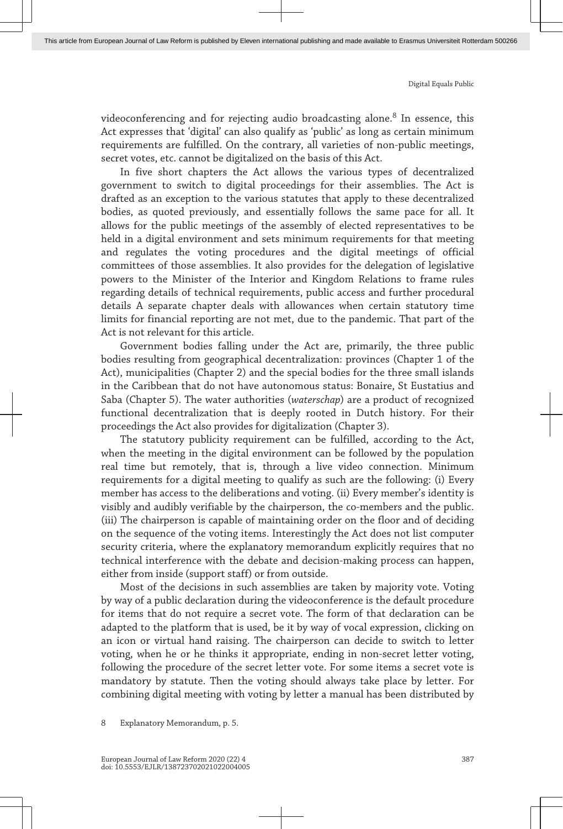videoconferencing and for rejecting audio broadcasting alone. $^8$  In essence, this Act expresses that 'digital' can also qualify as 'public' as long as certain minimum requirements are fulfilled. On the contrary, all varieties of non-public meetings, secret votes, etc. cannot be digitalized on the basis of this Act.

In five short chapters the Act allows the various types of decentralized government to switch to digital proceedings for their assemblies. The Act is drafted as an exception to the various statutes that apply to these decentralized bodies, as quoted previously, and essentially follows the same pace for all. It allows for the public meetings of the assembly of elected representatives to be held in a digital environment and sets minimum requirements for that meeting and regulates the voting procedures and the digital meetings of official committees of those assemblies. It also provides for the delegation of legislative powers to the Minister of the Interior and Kingdom Relations to frame rules regarding details of technical requirements, public access and further procedural details A separate chapter deals with allowances when certain statutory time limits for financial reporting are not met, due to the pandemic. That part of the Act is not relevant for this article.

Government bodies falling under the Act are, primarily, the three public bodies resulting from geographical decentralization: provinces (Chapter 1 of the Act), municipalities (Chapter 2) and the special bodies for the three small islands in the Caribbean that do not have autonomous status: Bonaire, St Eustatius and Saba (Chapter 5). The water authorities (*waterschap*) are a product of recognized functional decentralization that is deeply rooted in Dutch history. For their proceedings the Act also provides for digitalization (Chapter 3).

The statutory publicity requirement can be fulfilled, according to the Act, when the meeting in the digital environment can be followed by the population real time but remotely, that is, through a live video connection. Minimum requirements for a digital meeting to qualify as such are the following: (i) Every member has access to the deliberations and voting. (ii) Every member's identity is visibly and audibly verifiable by the chairperson, the co-members and the public. (iii) The chairperson is capable of maintaining order on the floor and of deciding on the sequence of the voting items. Interestingly the Act does not list computer security criteria, where the explanatory memorandum explicitly requires that no technical interference with the debate and decision-making process can happen, either from inside (support staff) or from outside.

Most of the decisions in such assemblies are taken by majority vote. Voting by way of a public declaration during the videoconference is the default procedure for items that do not require a secret vote. The form of that declaration can be adapted to the platform that is used, be it by way of vocal expression, clicking on an icon or virtual hand raising. The chairperson can decide to switch to letter voting, when he or he thinks it appropriate, ending in non-secret letter voting, following the procedure of the secret letter vote. For some items a secret vote is mandatory by statute. Then the voting should always take place by letter. For combining digital meeting with voting by letter a manual has been distributed by

<sup>8</sup> Explanatory Memorandum, p. 5.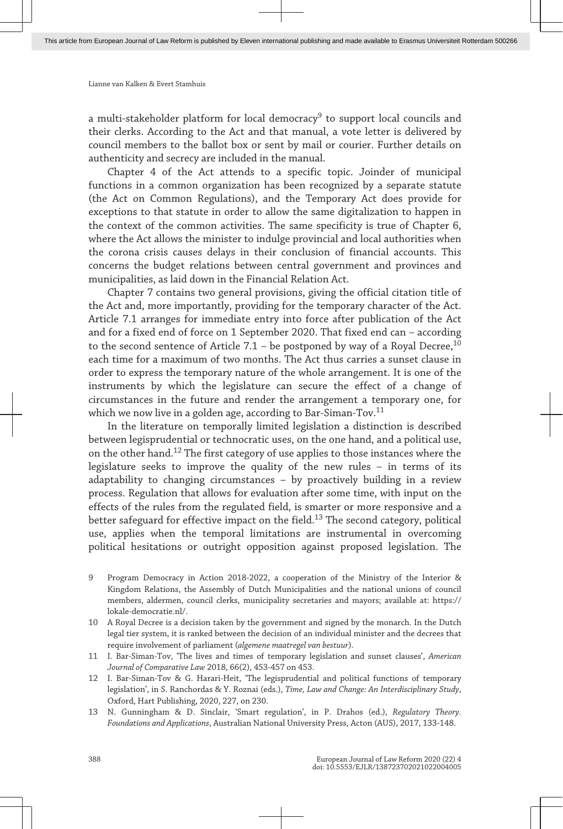a multi-stakeholder platform for local democracy<sup>9</sup> to support local councils and their clerks. According to the Act and that manual, a vote letter is delivered by council members to the ballot box or sent by mail or courier. Further details on authenticity and secrecy are included in the manual.

Chapter 4 of the Act attends to a specific topic. Joinder of municipal functions in a common organization has been recognized by a separate statute (the Act on Common Regulations), and the Temporary Act does provide for exceptions to that statute in order to allow the same digitalization to happen in the context of the common activities. The same specificity is true of Chapter 6, where the Act allows the minister to indulge provincial and local authorities when the corona crisis causes delays in their conclusion of financial accounts. This concerns the budget relations between central government and provinces and municipalities, as laid down in the Financial Relation Act.

Chapter 7 contains two general provisions, giving the official citation title of the Act and, more importantly, providing for the temporary character of the Act. Article 7.1 arranges for immediate entry into force after publication of the Act and for a fixed end of force on 1 September 2020. That fixed end can – according to the second sentence of Article 7.1 – be postponed by way of a Royal Decree, $^{10}$ each time for a maximum of two months. The Act thus carries a sunset clause in order to express the temporary nature of the whole arrangement. It is one of the instruments by which the legislature can secure the effect of a change of circumstances in the future and render the arrangement a temporary one, for which we now live in a golden age, according to Bar-Siman-Tov. $11$ 

In the literature on temporally limited legislation a distinction is described between legisprudential or technocratic uses, on the one hand, and a political use, on the other hand.<sup>12</sup> The first category of use applies to those instances where the legislature seeks to improve the quality of the new rules – in terms of its adaptability to changing circumstances – by proactively building in a review process. Regulation that allows for evaluation after some time, with input on the effects of the rules from the regulated field, is smarter or more responsive and a better safeguard for effective impact on the field.<sup>13</sup> The second category, political use, applies when the temporal limitations are instrumental in overcoming political hesitations or outright opposition against proposed legislation. The

- 9 Program Democracy in Action 2018-2022, a cooperation of the Ministry of the Interior & Kingdom Relations, the Assembly of Dutch Municipalities and the national unions of council members, aldermen, council clerks, municipality secretaries and mayors; available at: [https://](https://lokale-democratie.nl/) [lokale-democratie.nl/](https://lokale-democratie.nl/).
- 10 A Royal Decree is a decision taken by the government and signed by the monarch. In the Dutch legal tier system, it is ranked between the decision of an individual minister and the decrees that require involvement of parliament (*algemene maatregel van bestuur*).
- 11 I. Bar-Siman-Tov, 'The lives and times of temporary legislation and sunset clauses', *American Journal of Comparative Law* 2018, 66(2), 453-457 on 453.
- 12 I. Bar-Siman-Tov & G. Harari-Heit, 'The legisprudential and political functions of temporary legislation', in S. Ranchordas & Y. Roznai (eds.), *Time, Law and Change: An Interdisciplinary Study*, Oxford, Hart Publishing, 2020, 227, on 230.
- 13 N. Gunningham & D. Sinclair, 'Smart regulation', in P. Drahos (ed.), *Regulatory Theory. Foundations and Applications*, Australian National University Press, Acton (AUS), 2017, 133-148.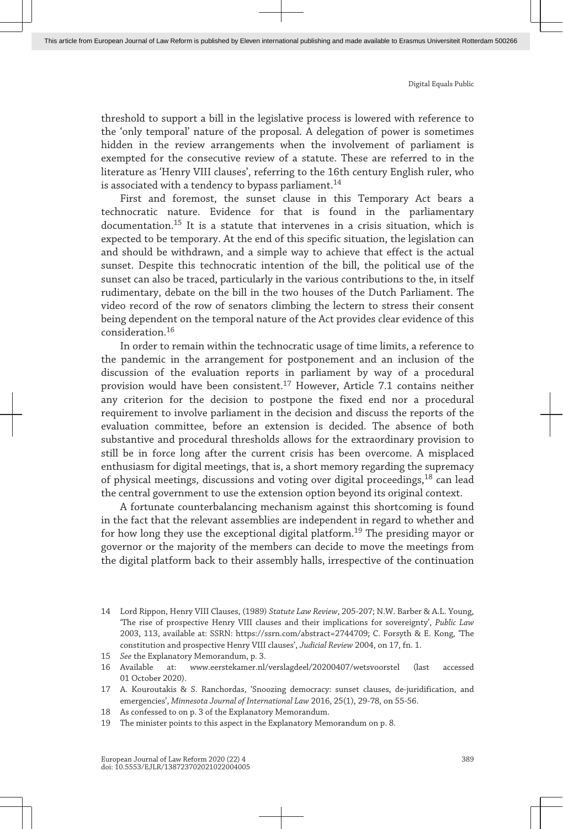threshold to support a bill in the legislative process is lowered with reference to the 'only temporal' nature of the proposal. A delegation of power is sometimes hidden in the review arrangements when the involvement of parliament is exempted for the consecutive review of a statute. These are referred to in the literature as 'Henry VIII clauses', referring to the 16th century English ruler, who is associated with a tendency to bypass parliament.<sup>14</sup>

First and foremost, the sunset clause in this Temporary Act bears a technocratic nature. Evidence for that is found in the parliamentary documentation.<sup>15</sup> It is a statute that intervenes in a crisis situation, which is expected to be temporary. At the end of this specific situation, the legislation can and should be withdrawn, and a simple way to achieve that effect is the actual sunset. Despite this technocratic intention of the bill, the political use of the sunset can also be traced, particularly in the various contributions to the, in itself rudimentary, debate on the bill in the two houses of the Dutch Parliament. The video record of the row of senators climbing the lectern to stress their consent being dependent on the temporal nature of the Act provides clear evidence of this consideration.<sup>16</sup>

In order to remain within the technocratic usage of time limits, a reference to the pandemic in the arrangement for postponement and an inclusion of the discussion of the evaluation reports in parliament by way of a procedural provision would have been consistent.<sup>17</sup> However, Article 7.1 contains neither any criterion for the decision to postpone the fixed end nor a procedural requirement to involve parliament in the decision and discuss the reports of the evaluation committee, before an extension is decided. The absence of both substantive and procedural thresholds allows for the extraordinary provision to still be in force long after the current crisis has been overcome. A misplaced enthusiasm for digital meetings, that is, a short memory regarding the supremacy of physical meetings, discussions and voting over digital proceedings,<sup>18</sup> can lead the central government to use the extension option beyond its original context.

A fortunate counterbalancing mechanism against this shortcoming is found in the fact that the relevant assemblies are independent in regard to whether and for how long they use the exceptional digital platform.<sup>19</sup> The presiding mayor or governor or the majority of the members can decide to move the meetings from the digital platform back to their assembly halls, irrespective of the continuation

<sup>14</sup> Lord Rippon, Henry VIII Clauses, (1989) *Statute Law Review*, 205-207; N.W. Barber & A.L. Young, 'The rise of prospective Henry VIII clauses and their implications for sovereignty', *Public Law* 2003, 113, available at: SSRN: [https://ssrn.com/abstract=2744709;](http://https://ssrn.com/abstract=2744709) C. Forsyth & E. Kong, 'The constitution and prospective Henry VIII clauses', *Judicial Review* 2004, on 17, fn. 1.

<sup>15</sup> *See* the Explanatory Memorandum, p. 3.

<sup>16</sup> Available at: [www.eerstekamer.nl/verslagdeel/20200407/wetsvoorstel](http://www.eerstekamer.nl/verslagdeel/20200407/wetsvoorstel) (last accessed 01 October 2020).

<sup>17</sup> A. Kouroutakis & S. Ranchordas, 'Snoozing democracy: sunset clauses, de-juridification, and emergencies', *Minnesota Journal of International Law* 2016, 25(1), 29-78, on 55-56.

<sup>18</sup> As confessed to on p. 3 of the Explanatory Memorandum.

<sup>19</sup> The minister points to this aspect in the Explanatory Memorandum on p. 8.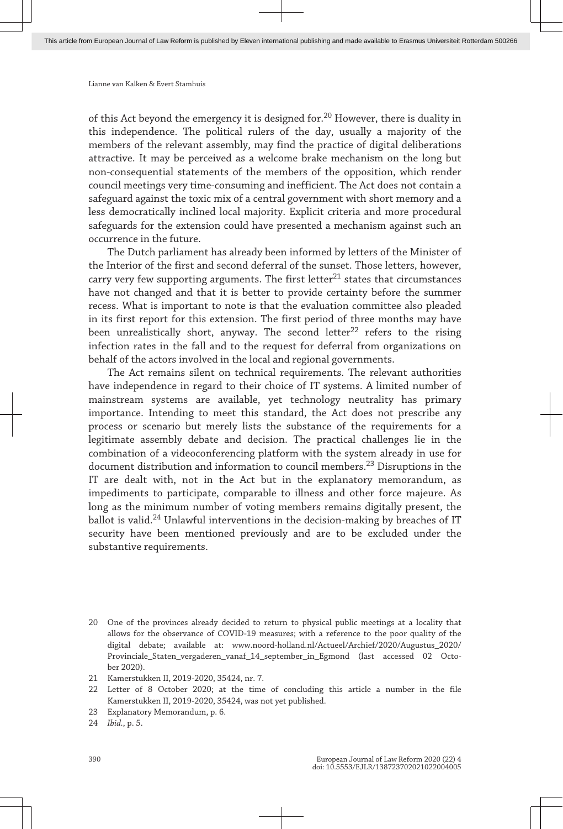of this Act beyond the emergency it is designed for.<sup>20</sup> However, there is duality in this independence. The political rulers of the day, usually a majority of the members of the relevant assembly, may find the practice of digital deliberations attractive. It may be perceived as a welcome brake mechanism on the long but non-consequential statements of the members of the opposition, which render council meetings very time-consuming and inefficient. The Act does not contain a safeguard against the toxic mix of a central government with short memory and a less democratically inclined local majority. Explicit criteria and more procedural safeguards for the extension could have presented a mechanism against such an occurrence in the future.

The Dutch parliament has already been informed by letters of the Minister of the Interior of the first and second deferral of the sunset. Those letters, however, carry very few supporting arguments. The first letter $^{21}$  states that circumstances have not changed and that it is better to provide certainty before the summer recess. What is important to note is that the evaluation committee also pleaded in its first report for this extension. The first period of three months may have been unrealistically short, anyway. The second letter<sup>22</sup> refers to the rising infection rates in the fall and to the request for deferral from organizations on behalf of the actors involved in the local and regional governments.

The Act remains silent on technical requirements. The relevant authorities have independence in regard to their choice of IT systems. A limited number of mainstream systems are available, yet technology neutrality has primary importance. Intending to meet this standard, the Act does not prescribe any process or scenario but merely lists the substance of the requirements for a legitimate assembly debate and decision. The practical challenges lie in the combination of a videoconferencing platform with the system already in use for document distribution and information to council members.<sup>23</sup> Disruptions in the IT are dealt with, not in the Act but in the explanatory memorandum, as impediments to participate, comparable to illness and other force majeure. As long as the minimum number of voting members remains digitally present, the ballot is valid.<sup>24</sup> Unlawful interventions in the decision-making by breaches of IT security have been mentioned previously and are to be excluded under the substantive requirements.

<sup>20</sup> One of the provinces already decided to return to physical public meetings at a locality that allows for the observance of COVID-19 measures; with a reference to the poor quality of the digital debate; available at: [www.noord-holland.nl/Actueel/Archief/2020/Augustus\\_2020/](http://www.noord-holland.nl/Actueel/Archief/2020/Augustus_2020/Provinciale_Staten_vergaderen_vanaf_14_september_in_Egmond) [Provinciale\\_Staten\\_vergaderen\\_vanaf\\_14\\_september\\_in\\_Egmond](http://www.noord-holland.nl/Actueel/Archief/2020/Augustus_2020/Provinciale_Staten_vergaderen_vanaf_14_september_in_Egmond) (last accessed 02 October 2020).

<sup>21</sup> Kamerstukken II, 2019-2020, 35424, nr. 7.

<sup>22</sup> Letter of 8 October 2020; at the time of concluding this article a number in the file Kamerstukken II, 2019-2020, 35424, was not yet published.

<sup>23</sup> Explanatory Memorandum, p. 6.

<sup>24</sup> *Ibid.*, p. 5.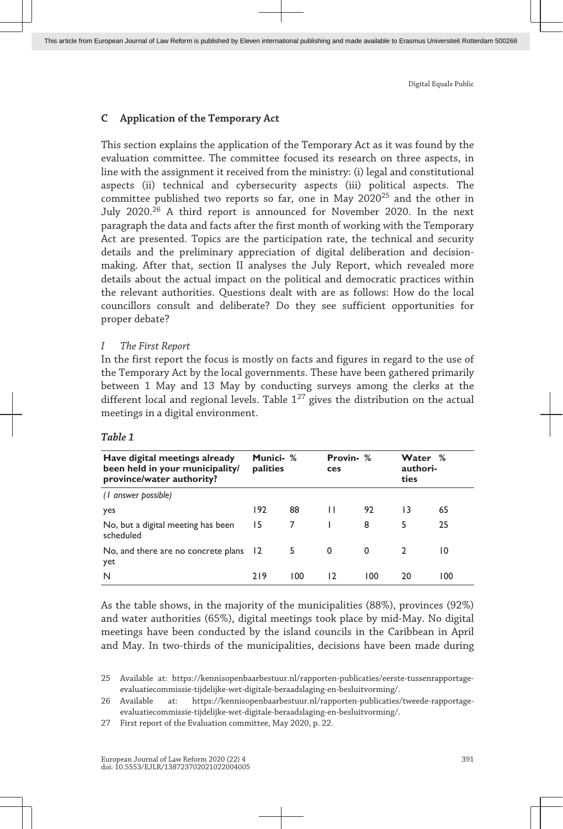### **C Application of the Temporary Act**

This section explains the application of the Temporary Act as it was found by the evaluation committee. The committee focused its research on three aspects, in line with the assignment it received from the ministry: (i) legal and constitutional aspects (ii) technical and cybersecurity aspects (iii) political aspects. The committee published two reports so far, one in May  $2020^{25}$  and the other in July 2020.<sup>26</sup> A third report is announced for November 2020. In the next paragraph the data and facts after the first month of working with the Temporary Act are presented. Topics are the participation rate, the technical and security details and the preliminary appreciation of digital deliberation and decisionmaking. After that, section II analyses the July Report, which revealed more details about the actual impact on the political and democratic practices within the relevant authorities. Questions dealt with are as follows: How do the local councillors consult and deliberate? Do they see sufficient opportunities for proper debate?

#### *I The First Report*

In the first report the focus is mostly on facts and figures in regard to the use of the Temporary Act by the local governments. These have been gathered primarily between 1 May and 13 May by conducting surveys among the clerks at the different local and regional levels. Table 1<sup>27</sup> gives the distribution on the actual meetings in a digital environment.

| Have digital meetings already<br>been held in your municipality/<br>province/water authority? | Munici- %<br>palities |     | Provin- %<br>ces |     | Water %<br>authori-<br>ties |     |
|-----------------------------------------------------------------------------------------------|-----------------------|-----|------------------|-----|-----------------------------|-----|
| (1 answer possible)                                                                           |                       |     |                  |     |                             |     |
| yes                                                                                           | 192                   | 88  | Н                | 92  | 13                          | 65  |
| No, but a digital meeting has been<br>scheduled                                               | 15                    | 7   |                  | 8   | 5                           | 25  |
| No, and there are no concrete plans 12<br>yet                                                 |                       | 5   | 0                | 0   | $\mathcal{D}$               | 10  |
| N                                                                                             | 219                   | 100 | 12               | 100 | 20                          | 100 |

#### *Table 1*

As the table shows, in the majority of the municipalities (88%), provinces (92%) and water authorities (65%), digital meetings took place by mid-May. No digital meetings have been conducted by the island councils in the Caribbean in April and May. In two-thirds of the municipalities, decisions have been made during

<sup>25</sup> Available at: [https://kennisopenbaarbestuur.nl/rapporten-publicaties/eerste-tussenrapportage](https://kennisopenbaarbestuur.nl/rapporten-publicaties/eerste-tussenrapportage-evaluatiecommissie-tijdelijke-wet-digitale-beraadslaging-en-besluitvorming/)[evaluatiecommissie-tijdelijke-wet-digitale-beraadslaging-en-besluitvorming/.](https://kennisopenbaarbestuur.nl/rapporten-publicaties/eerste-tussenrapportage-evaluatiecommissie-tijdelijke-wet-digitale-beraadslaging-en-besluitvorming/)

<sup>26</sup> Available at: [https://kennisopenbaarbestuur.nl/rapporten-publicaties/tweede-rapportage](https://kennisopenbaarbestuur.nl/rapporten-publicaties/tweede-rapportage-evaluatiecommissie-tijdelijke-wet-digitale-beraadslaging-en-besluitvorming/)[evaluatiecommissie-tijdelijke-wet-digitale-beraadslaging-en-besluitvorming/.](https://kennisopenbaarbestuur.nl/rapporten-publicaties/tweede-rapportage-evaluatiecommissie-tijdelijke-wet-digitale-beraadslaging-en-besluitvorming/)

<sup>27</sup> First report of the Evaluation committee, May 2020, p. 22.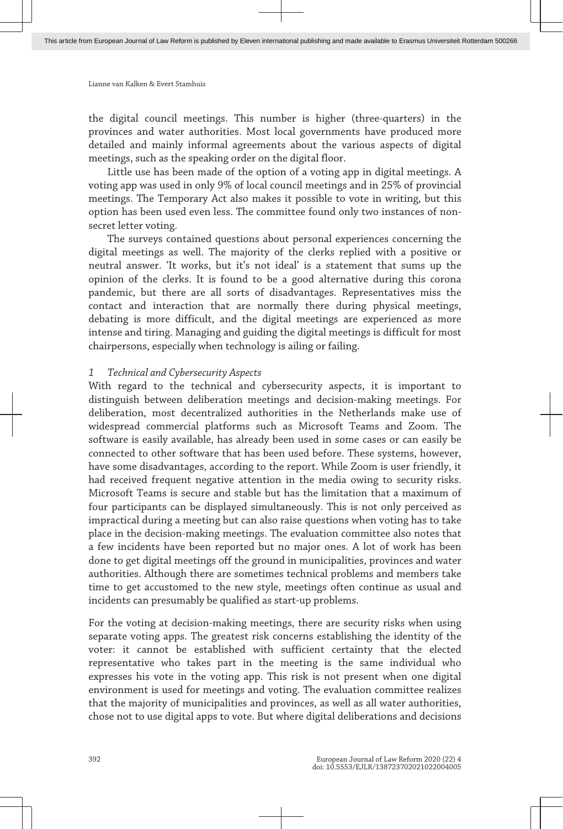the digital council meetings. This number is higher (three-quarters) in the provinces and water authorities. Most local governments have produced more detailed and mainly informal agreements about the various aspects of digital meetings, such as the speaking order on the digital floor.

Little use has been made of the option of a voting app in digital meetings. A voting app was used in only 9% of local council meetings and in 25% of provincial meetings. The Temporary Act also makes it possible to vote in writing, but this option has been used even less. The committee found only two instances of nonsecret letter voting.

The surveys contained questions about personal experiences concerning the digital meetings as well. The majority of the clerks replied with a positive or neutral answer. 'It works, but it's not ideal' is a statement that sums up the opinion of the clerks. It is found to be a good alternative during this corona pandemic, but there are all sorts of disadvantages. Representatives miss the contact and interaction that are normally there during physical meetings, debating is more difficult, and the digital meetings are experienced as more intense and tiring. Managing and guiding the digital meetings is difficult for most chairpersons, especially when technology is ailing or failing.

#### *1 Technical and Cybersecurity Aspects*

With regard to the technical and cybersecurity aspects, it is important to distinguish between deliberation meetings and decision-making meetings. For deliberation, most decentralized authorities in the Netherlands make use of widespread commercial platforms such as Microsoft Teams and Zoom. The software is easily available, has already been used in some cases or can easily be connected to other software that has been used before. These systems, however, have some disadvantages, according to the report. While Zoom is user friendly, it had received frequent negative attention in the media owing to security risks. Microsoft Teams is secure and stable but has the limitation that a maximum of four participants can be displayed simultaneously. This is not only perceived as impractical during a meeting but can also raise questions when voting has to take place in the decision-making meetings. The evaluation committee also notes that a few incidents have been reported but no major ones. A lot of work has been done to get digital meetings off the ground in municipalities, provinces and water authorities. Although there are sometimes technical problems and members take time to get accustomed to the new style, meetings often continue as usual and incidents can presumably be qualified as start-up problems.

For the voting at decision-making meetings, there are security risks when using separate voting apps. The greatest risk concerns establishing the identity of the voter: it cannot be established with sufficient certainty that the elected representative who takes part in the meeting is the same individual who expresses his vote in the voting app. This risk is not present when one digital environment is used for meetings and voting. The evaluation committee realizes that the majority of municipalities and provinces, as well as all water authorities, chose not to use digital apps to vote. But where digital deliberations and decisions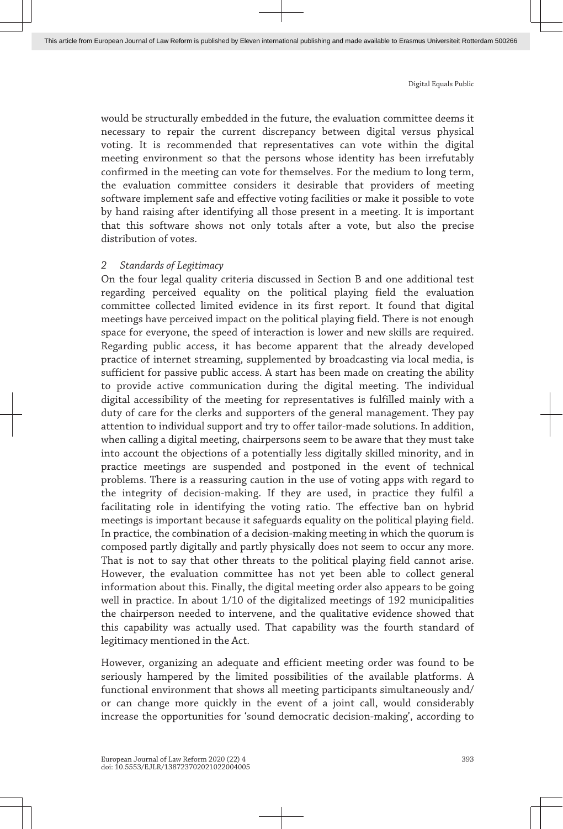would be structurally embedded in the future, the evaluation committee deems it necessary to repair the current discrepancy between digital versus physical voting. It is recommended that representatives can vote within the digital meeting environment so that the persons whose identity has been irrefutably confirmed in the meeting can vote for themselves. For the medium to long term, the evaluation committee considers it desirable that providers of meeting software implement safe and effective voting facilities or make it possible to vote by hand raising after identifying all those present in a meeting. It is important that this software shows not only totals after a vote, but also the precise distribution of votes.

#### *2 Standards of Legitimacy*

On the four legal quality criteria discussed in Section B and one additional test regarding perceived equality on the political playing field the evaluation committee collected limited evidence in its first report. It found that digital meetings have perceived impact on the political playing field. There is not enough space for everyone, the speed of interaction is lower and new skills are required. Regarding public access, it has become apparent that the already developed practice of internet streaming, supplemented by broadcasting via local media, is sufficient for passive public access. A start has been made on creating the ability to provide active communication during the digital meeting. The individual digital accessibility of the meeting for representatives is fulfilled mainly with a duty of care for the clerks and supporters of the general management. They pay attention to individual support and try to offer tailor-made solutions. In addition, when calling a digital meeting, chairpersons seem to be aware that they must take into account the objections of a potentially less digitally skilled minority, and in practice meetings are suspended and postponed in the event of technical problems. There is a reassuring caution in the use of voting apps with regard to the integrity of decision-making. If they are used, in practice they fulfil a facilitating role in identifying the voting ratio. The effective ban on hybrid meetings is important because it safeguards equality on the political playing field. In practice, the combination of a decision-making meeting in which the quorum is composed partly digitally and partly physically does not seem to occur any more. That is not to say that other threats to the political playing field cannot arise. However, the evaluation committee has not yet been able to collect general information about this. Finally, the digital meeting order also appears to be going well in practice. In about 1/10 of the digitalized meetings of 192 municipalities the chairperson needed to intervene, and the qualitative evidence showed that this capability was actually used. That capability was the fourth standard of legitimacy mentioned in the Act.

However, organizing an adequate and efficient meeting order was found to be seriously hampered by the limited possibilities of the available platforms. A functional environment that shows all meeting participants simultaneously and/ or can change more quickly in the event of a joint call, would considerably increase the opportunities for 'sound democratic decision-making', according to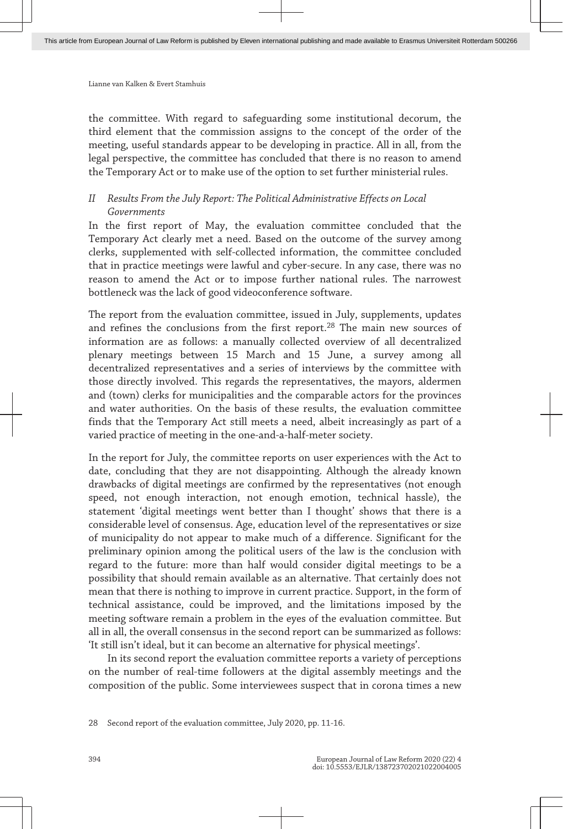the committee. With regard to safeguarding some institutional decorum, the third element that the commission assigns to the concept of the order of the meeting, useful standards appear to be developing in practice. All in all, from the legal perspective, the committee has concluded that there is no reason to amend the Temporary Act or to make use of the option to set further ministerial rules.

## *II Results From the July Report: The Political Administrative Effects on Local Governments*

In the first report of May, the evaluation committee concluded that the Temporary Act clearly met a need. Based on the outcome of the survey among clerks, supplemented with self-collected information, the committee concluded that in practice meetings were lawful and cyber-secure. In any case, there was no reason to amend the Act or to impose further national rules. The narrowest bottleneck was the lack of good videoconference software.

The report from the evaluation committee, issued in July, supplements, updates and refines the conclusions from the first report.<sup>28</sup> The main new sources of information are as follows: a manually collected overview of all decentralized plenary meetings between 15 March and 15 June, a survey among all decentralized representatives and a series of interviews by the committee with those directly involved. This regards the representatives, the mayors, aldermen and (town) clerks for municipalities and the comparable actors for the provinces and water authorities. On the basis of these results, the evaluation committee finds that the Temporary Act still meets a need, albeit increasingly as part of a varied practice of meeting in the one-and-a-half-meter society.

In the report for July, the committee reports on user experiences with the Act to date, concluding that they are not disappointing. Although the already known drawbacks of digital meetings are confirmed by the representatives (not enough speed, not enough interaction, not enough emotion, technical hassle), the statement 'digital meetings went better than I thought' shows that there is a considerable level of consensus. Age, education level of the representatives or size of municipality do not appear to make much of a difference. Significant for the preliminary opinion among the political users of the law is the conclusion with regard to the future: more than half would consider digital meetings to be a possibility that should remain available as an alternative. That certainly does not mean that there is nothing to improve in current practice. Support, in the form of technical assistance, could be improved, and the limitations imposed by the meeting software remain a problem in the eyes of the evaluation committee. But all in all, the overall consensus in the second report can be summarized as follows: 'It still isn't ideal, but it can become an alternative for physical meetings'.

In its second report the evaluation committee reports a variety of perceptions on the number of real-time followers at the digital assembly meetings and the composition of the public. Some interviewees suspect that in corona times a new

28 Second report of the evaluation committee, July 2020, pp. 11-16.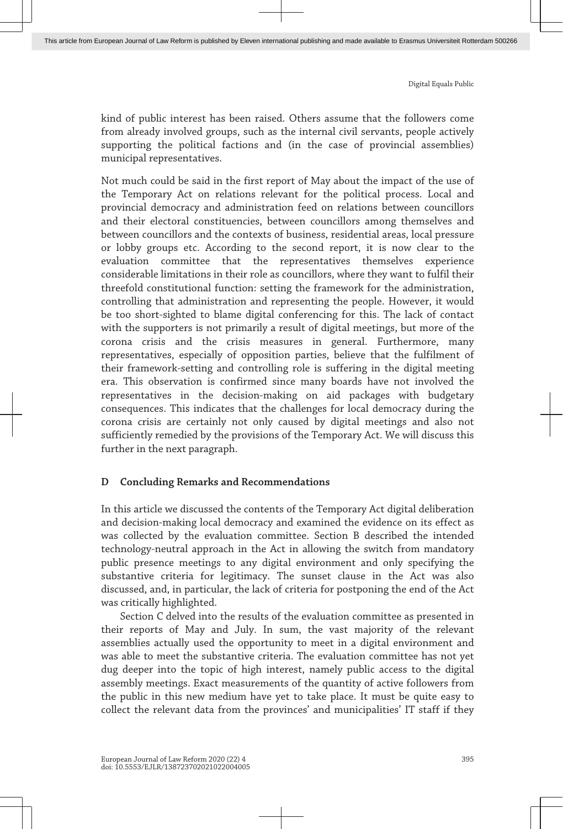kind of public interest has been raised. Others assume that the followers come from already involved groups, such as the internal civil servants, people actively supporting the political factions and (in the case of provincial assemblies) municipal representatives.

Not much could be said in the first report of May about the impact of the use of the Temporary Act on relations relevant for the political process. Local and provincial democracy and administration feed on relations between councillors and their electoral constituencies, between councillors among themselves and between councillors and the contexts of business, residential areas, local pressure or lobby groups etc. According to the second report, it is now clear to the evaluation committee that the representatives themselves experience considerable limitations in their role as councillors, where they want to fulfil their threefold constitutional function: setting the framework for the administration, controlling that administration and representing the people. However, it would be too short-sighted to blame digital conferencing for this. The lack of contact with the supporters is not primarily a result of digital meetings, but more of the corona crisis and the crisis measures in general. Furthermore, many representatives, especially of opposition parties, believe that the fulfilment of their framework-setting and controlling role is suffering in the digital meeting era. This observation is confirmed since many boards have not involved the representatives in the decision-making on aid packages with budgetary consequences. This indicates that the challenges for local democracy during the corona crisis are certainly not only caused by digital meetings and also not sufficiently remedied by the provisions of the Temporary Act. We will discuss this further in the next paragraph.

#### **D Concluding Remarks and Recommendations**

In this article we discussed the contents of the Temporary Act digital deliberation and decision-making local democracy and examined the evidence on its effect as was collected by the evaluation committee. Section B described the intended technology-neutral approach in the Act in allowing the switch from mandatory public presence meetings to any digital environment and only specifying the substantive criteria for legitimacy. The sunset clause in the Act was also discussed, and, in particular, the lack of criteria for postponing the end of the Act was critically highlighted.

Section C delved into the results of the evaluation committee as presented in their reports of May and July. In sum, the vast majority of the relevant assemblies actually used the opportunity to meet in a digital environment and was able to meet the substantive criteria. The evaluation committee has not yet dug deeper into the topic of high interest, namely public access to the digital assembly meetings. Exact measurements of the quantity of active followers from the public in this new medium have yet to take place. It must be quite easy to collect the relevant data from the provinces' and municipalities' IT staff if they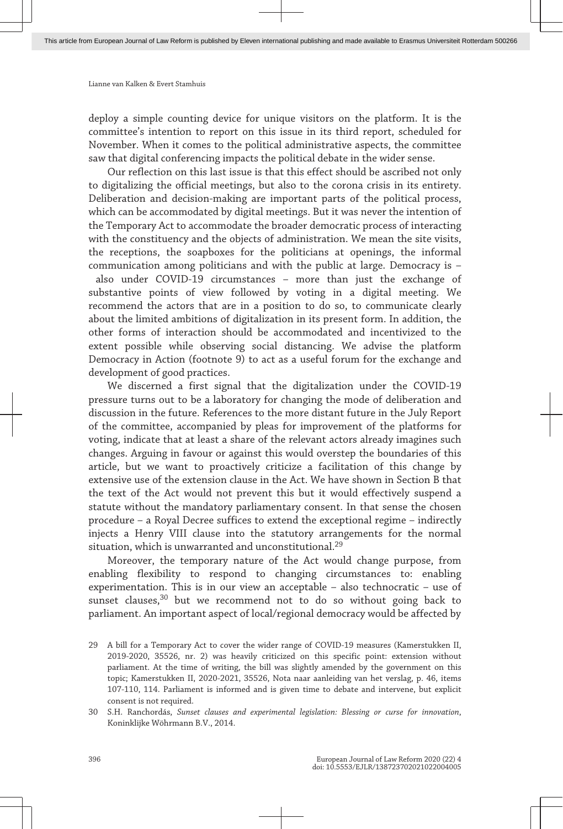deploy a simple counting device for unique visitors on the platform. It is the committee's intention to report on this issue in its third report, scheduled for November. When it comes to the political administrative aspects, the committee saw that digital conferencing impacts the political debate in the wider sense.

Our reflection on this last issue is that this effect should be ascribed not only to digitalizing the official meetings, but also to the corona crisis in its entirety. Deliberation and decision-making are important parts of the political process, which can be accommodated by digital meetings. But it was never the intention of the Temporary Act to accommodate the broader democratic process of interacting with the constituency and the objects of administration. We mean the site visits, the receptions, the soapboxes for the politicians at openings, the informal communication among politicians and with the public at large. Democracy is – also under COVID-19 circumstances – more than just the exchange of substantive points of view followed by voting in a digital meeting. We recommend the actors that are in a position to do so, to communicate clearly about the limited ambitions of digitalization in its present form. In addition, the other forms of interaction should be accommodated and incentivized to the extent possible while observing social distancing. We advise the platform Democracy in Action (footnote 9) to act as a useful forum for the exchange and development of good practices.

We discerned a first signal that the digitalization under the COVID-19 pressure turns out to be a laboratory for changing the mode of deliberation and discussion in the future. References to the more distant future in the July Report of the committee, accompanied by pleas for improvement of the platforms for voting, indicate that at least a share of the relevant actors already imagines such changes. Arguing in favour or against this would overstep the boundaries of this article, but we want to proactively criticize a facilitation of this change by extensive use of the extension clause in the Act. We have shown in Section B that the text of the Act would not prevent this but it would effectively suspend a statute without the mandatory parliamentary consent. In that sense the chosen procedure – a Royal Decree suffices to extend the exceptional regime – indirectly injects a Henry VIII clause into the statutory arrangements for the normal situation, which is unwarranted and unconstitutional.<sup>29</sup>

Moreover, the temporary nature of the Act would change purpose, from enabling flexibility to respond to changing circumstances to: enabling experimentation. This is in our view an acceptable – also technocratic – use of sunset clauses,<sup>30</sup> but we recommend not to do so without going back to parliament. An important aspect of local/regional democracy would be affected by

<sup>29</sup> A bill for a Temporary Act to cover the wider range of COVID-19 measures (Kamerstukken II, 2019-2020, 35526, nr. 2) was heavily criticized on this specific point: extension without parliament. At the time of writing, the bill was slightly amended by the government on this topic; Kamerstukken II, 2020-2021, 35526, Nota naar aanleiding van het verslag, p. 46, items 107-110, 114. Parliament is informed and is given time to debate and intervene, but explicit consent is not required.

<sup>30</sup> S.H. Ranchordás, *Sunset clauses and experimental legislation: Blessing or curse for innovation*, Koninklijke Wöhrmann B.V., 2014.